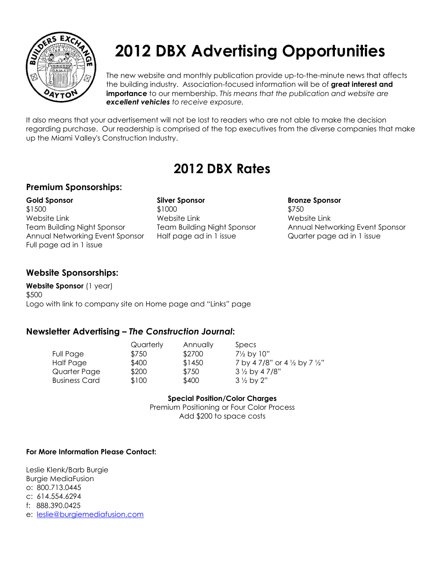

# **2012 DBX Advertising Opportunities**

The new website and monthly publication provide up-to-the-minute news that affects the building industry. Association-focused information will be of **great interest and importance** to our membership. *This means that the publication and website are excellent vehicles to receive exposure.* 

It also means that your advertisement will not be lost to readers who are not able to make the decision regarding purchase. Our readership is comprised of the top executives from the diverse companies that make up the Miami Valley's Construction Industry.

### **2012 DBX Rates**

#### **Premium Sponsorships:**

**Gold Sponsor Silver Sponsor Bronze Sponsor** \$1500 \$1500 \$1000 \$1000 \$750 Website Link Website Link Website Link Annual Networking Event Sponsor Half page ad in 1 issue **Quarter page ad in 1 issue** Full page ad in 1 issue

Team Building Night Sponsor Team Building Night Sponsor Annual Networking Event Sponsor

#### **Website Sponsorships:**

**Website Sponsor** (1 year) \$500 Logo with link to company site on Home page and "Links" page

#### **Newsletter Advertising –** *The Construction Journal***:**

Full Page \$750 \$2700 7<sup>1/2</sup> by 10" Business Card \$100 \$400 3 1/2 by 2"

Quarterly Annually Specs

Half Page  $$400$   $$1450$   $7 \times 478$  or  $4 \times 6$  y  $7 \times 2$ Quarter Page \$200 \$750 3 1/2 by 4 7/8"

**Special Position/Color Charges**

Premium Positioning or Four Color Process Add \$200 to space costs

#### **For More Information Please Contact:**

Leslie Klenk/Barb Burgie Burgie MediaFusion o: 800.713.0445 c: 614.554.6294 f: 888.390.0425 e: [leslie@burgiemediafusion.com](mailto:leslie@burgiemediafusion.com)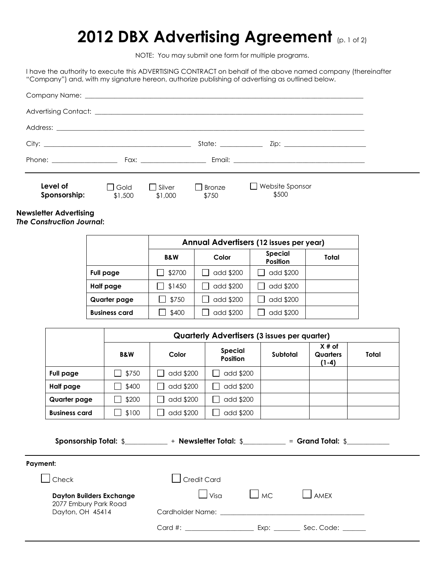### **2012 DBX Advertising Agreement** (p. 1 of 2)

NOTE: You may submit one form for multiple programs.

I have the authority to execute this ADVERTISING CONTRACT on behalf of the above named company (thereinafter "Company") and, with my signature hereon, authorize publishing of advertising as outlined below.

|                              |                     |                                                                                                                 | State: the state of the state of the state of the state of the state of the state of the state of the state of the state of the state of the state of the state of the state of the state of the state of the state of the sta |                                          |  |
|------------------------------|---------------------|-----------------------------------------------------------------------------------------------------------------|--------------------------------------------------------------------------------------------------------------------------------------------------------------------------------------------------------------------------------|------------------------------------------|--|
| Phone: _____________________ |                     | Fax: Exercise of the state of the state of the state of the state of the state of the state of the state of the |                                                                                                                                                                                                                                |                                          |  |
| Level of<br>Sponsorship:     | l I Gold<br>\$1,500 | $\Box$ Silver<br>\$1,000                                                                                        | Bronze<br>\$750                                                                                                                                                                                                                | Website Sponsor<br>$\mathbf{L}$<br>\$500 |  |

#### **Newsletter Advertising**

*The Construction Journal***:**

|                      | Annual Advertisers (12 issues per year) |           |                                   |       |
|----------------------|-----------------------------------------|-----------|-----------------------------------|-------|
|                      | <b>B&amp;W</b>                          | Color     | <b>Special</b><br><b>Position</b> | Total |
| Full page            | \$2700                                  | add \$200 | add \$200                         |       |
| Half page            | \$1450                                  | add \$200 | add \$200                         |       |
| Quarter page         | \$750                                   | add \$200 | add \$200                         |       |
| <b>Business card</b> | \$400                                   | add \$200 | add \$200                         |       |

|                      | <b>Quarterly Advertisers (3 issues per quarter)</b> |           |                                   |          |                                       |       |
|----------------------|-----------------------------------------------------|-----------|-----------------------------------|----------|---------------------------------------|-------|
|                      | <b>B&amp;W</b>                                      | Color     | <b>Special</b><br><b>Position</b> | Subtotal | $X#$ of<br><b>Quarters</b><br>$(1-4)$ | Total |
| Full page            | \$750<br>$\sim$                                     | add \$200 | add \$200                         |          |                                       |       |
| Half page            | \$400<br>$\mathbf{I}$                               | add \$200 | add \$200                         |          |                                       |       |
| Quarter page         | \$200                                               | add \$200 | add \$200                         |          |                                       |       |
| <b>Business card</b> | \$100                                               | add \$200 | add \$200                         |          |                                       |       |

**Sponsorship Total:** \$\_\_\_\_\_\_\_\_\_\_\_\_\_ + **Newsletter Total:** \$\_\_\_\_\_\_\_\_\_\_\_\_\_ = **Grand Total:** \$\_\_\_\_\_\_\_\_\_\_\_\_\_

| Payment: |  |
|----------|--|
|          |  |

| menr.                                                                        |                                                                                                                                                                                                                                          |           |            |
|------------------------------------------------------------------------------|------------------------------------------------------------------------------------------------------------------------------------------------------------------------------------------------------------------------------------------|-----------|------------|
| $\vert$ Check                                                                | Credit Card                                                                                                                                                                                                                              |           |            |
| <b>Dayton Builders Exchange</b><br>2077 Embury Park Road<br>Dayton, OH 45414 | $V$ isa<br>Cardholder Name: the contract of the contract of the contract of the contract of the contract of the contract of the contract of the contract of the contract of the contract of the contract of the contract of the contract | $\Box$ MC | AMFX       |
|                                                                              | $Card \#$ :                                                                                                                                                                                                                              | Exp:      | Sec. Code: |